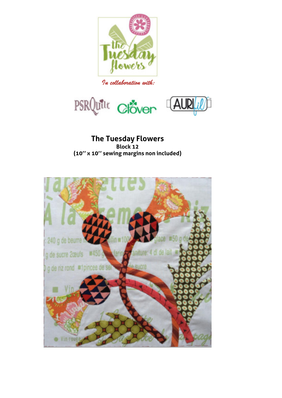





**The Tuesday Flowers Block 12 (10'' x 10'' sewing margins non included)** 

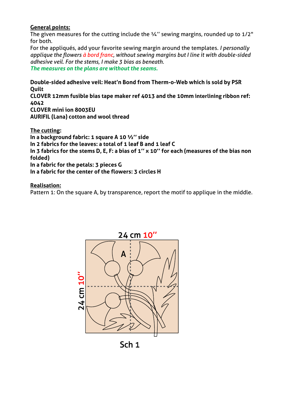## **General points:**

The given measures for the cutting include the  $\frac{1}{4}$ " sewing margins, rounded up to  $\frac{1}{2}$ " for both.

For the appliqués, add your favorite sewing margin around the templates. *I personally applique the flowers à bord franc, without sewing margins but I line it with double-sided adhesive veil. For the stems, I make 3 bias as beneath.* 

*The measures on the plans are without the seams.* 

**Double-sided adhesive veil: Heat'n Bond from Therm-o-Web which is sold by PSR Quilt CLOVER 12mm fusible bias tape maker ref 4013 and the 10mm interlining ribbon ref: 4042 CLOVER mini ion 8003EU AURIFIL (Lana) cotton and wool thread** 

**The cutting: In a background fabric: 1 square A 10 ½'' side In 2 fabrics for the leaves: a total of 1 leaf B and 1 leaf C In 3 fabrics for the stems D, E, F: a bias of 1'' x 10'' for each (measures of the bias non folded) In a fabric for the petals: 3 pieces G In a fabric for the center of the flowers: 3 circles H** 

## **Realisation:**

Pattern 1: On the square A, by transparence, report the motif to applique in the middle.



Sch<sub>1</sub>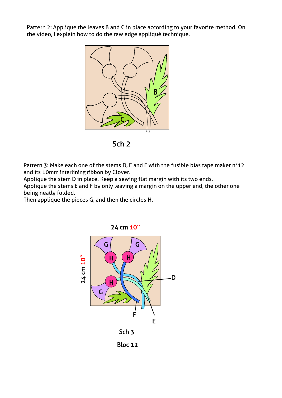Pattern 2: Applique the leaves B and C in place according to your favorite method. On the video, I explain how to do the raw edge appliqué technique.



Sch<sub>2</sub>

Pattern 3: Make each one of the stems D, E and F with the fusible bias tape maker n°12 and its 10mm interlining ribbon by Clover.

Applique the stem D in place. Keep a sewing flat margin with its two ends.

Applique the stems E and F by only leaving a margin on the upper end, the other one being neatly folded.

Then applique the pieces G, and then the circles H.

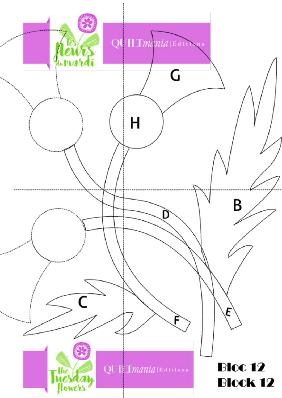